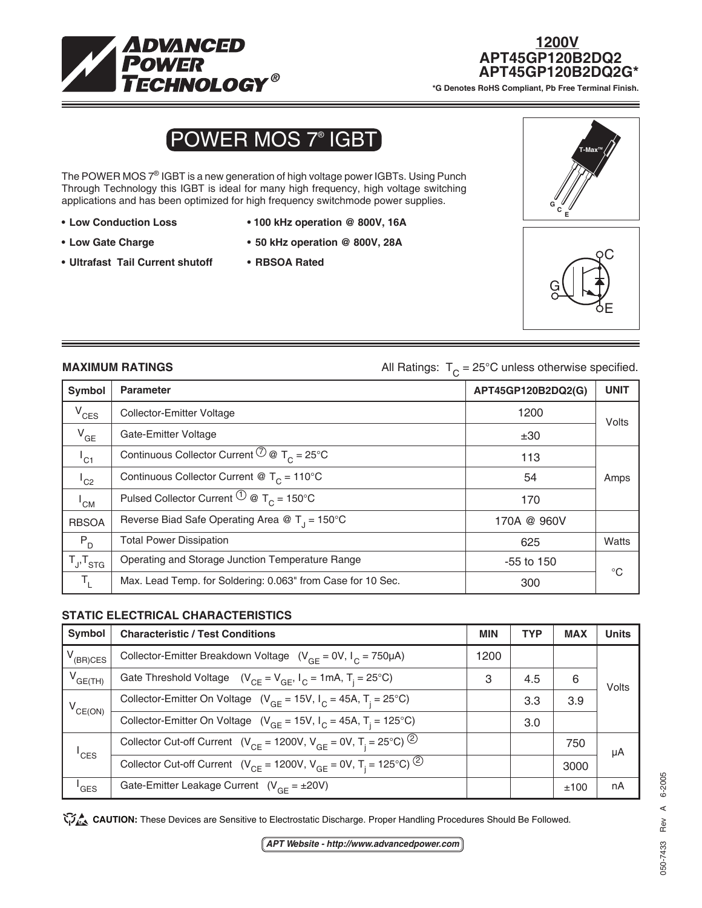

# **1200V APT45GP120B2DQ2<br>APT45GP120B2DQ2G\***<br><sup>\*G Denotes RoHS Compliant, Pb Free Terminal Finish.</sup>

## POWER MOS 7® IGBT

The POWER MOS 7<sup>®</sup> IGBT is a new generation of high voltage power IGBTs. Using Punch Through Technology this IGBT is ideal for many high frequency, high voltage switching applications and has been optimized for high frequency switchmode power supplies.

- 
- 
- **Ultrafast Tail Current shutoff RBSOA Rated**
- **Low Conduction Loss 100 kHz operation @ 800V, 16A**
- **Low Gate Charge 50 kHz operation @ 800V, 28A**
	-





**MAXIMUM RATINGS All Ratings:**  $T_c = 25^\circ \text{C}$  unless otherwise specified.

| Symbol              | <b>Parameter</b>                                                                | APT45GP120B2DQ2(G) | <b>UNIT</b> |
|---------------------|---------------------------------------------------------------------------------|--------------------|-------------|
| $V_{CES}$           | <b>Collector-Emitter Voltage</b>                                                | 1200               | Volts       |
| $V_{GE}$            | Gate-Emitter Voltage                                                            | ±30                |             |
| $I_{C1}$            | Continuous Collector Current $\overline{\mathcal{O}} \otimes T_c = 25^{\circ}C$ | 113                |             |
| $^1$ C <sub>2</sub> | Continuous Collector Current @ $T_c = 110^{\circ}$ C                            | 54                 | Amps        |
| $I_{CM}$            | Pulsed Collector Current $\overline{10} \otimes T_c = 150^{\circ}$ C            | 170                |             |
| <b>RBSOA</b>        | Reverse Biad Safe Operating Area @ $T_1 = 150^{\circ}$ C                        | 170A @ 960V        |             |
| $P_D$               | <b>Total Power Dissipation</b>                                                  | 625                | Watts       |
| $T_{J}$ , $T_{STG}$ | Operating and Storage Junction Temperature Range                                | $-55$ to 150       | $^{\circ}C$ |
| $T_{\rm L}$         | Max. Lead Temp. for Soldering: 0.063" from Case for 10 Sec.                     | 300                |             |

### **STATIC ELECTRICAL CHARACTERISTICS**

| Symbol              | <b>Characteristic / Test Conditions</b>                                                             | <b>MIN</b> | <b>TYP</b> | <b>MAX</b> | <b>Units</b> |  |
|---------------------|-----------------------------------------------------------------------------------------------------|------------|------------|------------|--------------|--|
| $V_{(BR)CES}$       | Collector-Emitter Breakdown Voltage $(V_{GF} = OV, I_C = 750 \mu A)$                                | 1200       |            |            |              |  |
| $V_{GE(TH)}$        | Gate Threshold Voltage $(V_{CF} = V_{GF}, I_C = 1mA, T_i = 25^{\circ}C)$                            | 3          | 4.5        | 6          | Volts        |  |
| $V_{CE(ON)}$        | Collector-Emitter On Voltage $(V_{GF} = 15V, I_C = 45A, T_i = 25^{\circ}C)$                         |            | 3.3        | 3.9        |              |  |
|                     | Collector-Emitter On Voltage ( $V_{GF}$ = 15V, $I_{C}$ = 45A, T <sub>i</sub> = 125°C)               |            | 3.0        |            |              |  |
| $^{\mathsf{I}}$ CES | Collector Cut-off Current ( $V_{CF}$ = 1200V, $V_{GF}$ = 0V, $T_i$ = 25°C) <sup>(2)</sup>           |            |            | 750        | μA           |  |
|                     | Collector Cut-off Current ( $V_{CE}$ = 1200V, $V_{GF}$ = 0V, T <sub>i</sub> = 125°C) <sup>(2)</sup> |            |            | 3000       |              |  |
| <sup>I</sup> GES    | Gate-Emitter Leakage Current $(V_{GF} = \pm 20V)$                                                   |            |            | ±100       | nA           |  |

CAUTION: These Devices are Sensitive to Electrostatic Discharge. Proper Handling Procedures Should Be Followed.

**APT Website - http://www.advancedpower.com**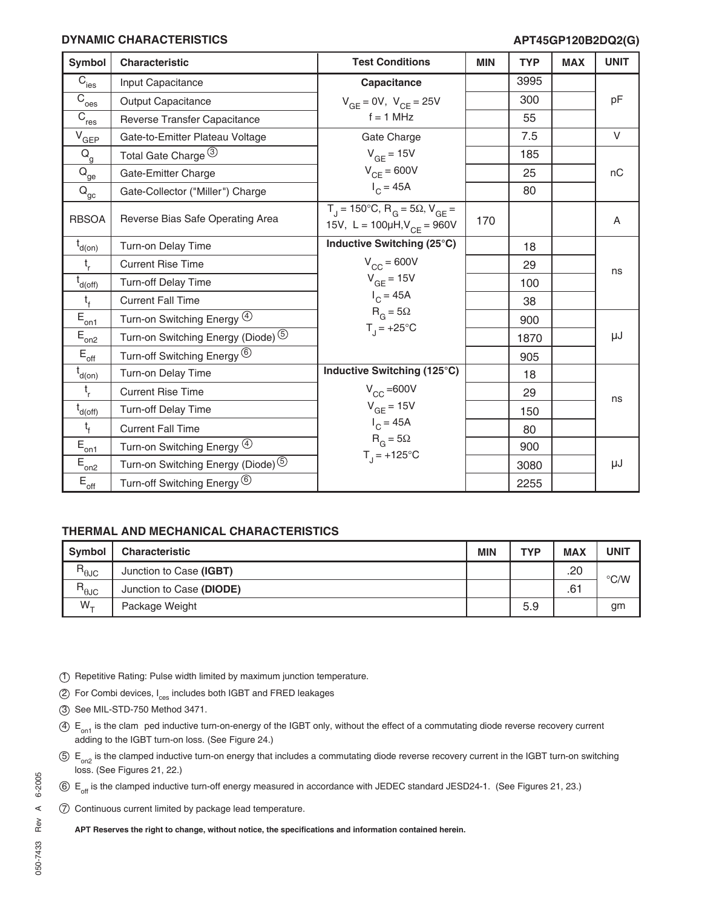### **DYNAMIC CHARACTERISTICS**

### **APT45GP120B2DQ2(G)**

| <b>Symbol</b>                                   | Characteristic                                | <b>Test Conditions</b>                                                                      | <b>MIN</b> | <b>TYP</b> | <b>MAX</b> | <b>UNIT</b> |
|-------------------------------------------------|-----------------------------------------------|---------------------------------------------------------------------------------------------|------------|------------|------------|-------------|
| $\overline{C}_{\rm ies}$                        | Input Capacitance                             | Capacitance                                                                                 |            | 3995       |            |             |
| $\overline{C}_{\text{oes}}$                     | <b>Output Capacitance</b>                     | $V_{GE} = 0V$ , $V_{CE} = 25V$                                                              |            | 300        |            | pF          |
| $\overline{C}_{\underline{res}}$                | Reverse Transfer Capacitance                  | $f = 1$ MHz                                                                                 |            | 55         |            |             |
| $V_{GEP}$                                       | Gate-to-Emitter Plateau Voltage               | Gate Charge                                                                                 |            | 7.5        |            | $\vee$      |
| $\mathsf{Q}_{\mathsf{g}}$                       | Total Gate Charge 3                           | $V_{GF}$ = 15V                                                                              |            | 185        |            |             |
| $\rm \bar{Q}_{\underline{ge}}$                  | Gate-Emitter Charge                           | $V_{CF} = 600V$                                                                             |            | 25         |            | nC          |
| $\mathsf{Q}_\mathsf{gc}$                        | Gate-Collector ("Miller") Charge              | $I_C = 45A$                                                                                 |            | 80         |            |             |
| <b>RBSOA</b>                                    | Reverse Bias Safe Operating Area              | $T_1 = 150^{\circ}C$ , $R_6 = 5\Omega$ , $V_{GE} =$<br>15V, $L = 100 \mu H, V_{CE} = 960 V$ | 170        |            |            | A           |
| $t_{d(0n)}$                                     | Turn-on Delay Time                            | Inductive Switching (25°C)                                                                  |            | 18         |            |             |
| $t_{r}$                                         | <b>Current Rise Time</b>                      | $V_{CC}$ = 600V                                                                             |            | 29         |            | ns          |
| $\overline{t}_{d(\underline{off})}$             | Turn-off Delay Time                           | $V_{GF}$ = 15V                                                                              |            | 100        |            |             |
| $t_{f}$                                         | <b>Current Fall Time</b>                      | $I_C = 45A$                                                                                 |            | 38         |            |             |
| $\overline{E}_{\underline{on1}}$                | Turn-on Switching Energy 4                    | $R_G = 5\Omega$                                                                             |            | 900        |            |             |
| $E_{\underline{on2}}$                           | Turn-on Switching Energy (Diode) <sup>5</sup> | $T_{1} = +25^{\circ}C$                                                                      |            | 1870       |            | μJ          |
| $E_{\text{off}}$                                | Turn-off Switching Energy <sup>6</sup>        |                                                                                             |            | 905        |            |             |
| $t_{d(on)}$                                     | Turn-on Delay Time                            | Inductive Switching (125°C)                                                                 |            | 18         |            |             |
| $t_{r}$                                         | <b>Current Rise Time</b>                      | $V_{CC} = 600V$                                                                             |            | 29         |            | ns          |
| $t_{d(off)}$                                    | Turn-off Delay Time                           | $V_{GE}$ = 15V                                                                              |            | 150        |            |             |
| $t_{f}$                                         | <b>Current Fall Time</b>                      | $I_C = 45A$                                                                                 |            | 80         |            |             |
| $\tilde{\mathsf{E}}_{\underline{\mathsf{on1}}}$ | Turn-on Switching Energy 4                    | $R_G = 5\Omega$                                                                             |            | 900        |            |             |
| $\mathsf{E}_{\underbar{\mathrm{on}}2}$          | Turn-on Switching Energy (Diode) <sup>5</sup> | $T_{1}$ = +125°C                                                                            |            | 3080       |            | μJ          |
| $\mathsf{E}_{\mathsf{off}}$                     | Turn-off Switching Energy <sup>6</sup>        |                                                                                             |            | 2255       |            |             |

### **THERMAL AND MECHANICAL CHARACTERISTICS**

| <b>Symbol</b>          | <b>Characteristic</b>    | <b>MIN</b> | <b>TYP</b> | <b>MAX</b> | UNIT          |
|------------------------|--------------------------|------------|------------|------------|---------------|
| $R_{\theta \text{JC}}$ | Junction to Case (IGBT)  |            |            | .20        | $\degree$ C/W |
| $R_{\theta$ JC         | Junction to Case (DIODE) |            |            | .61        |               |
| $W_{+}$                | Package Weight           |            | 5.9        |            | gm            |

- 1 Repetitive Rating: Pulse width limited by maximum junction temperature.
- 2 For Combi devices, I<sub>ces</sub> includes both IGBT and FRED leakages
- 3 See MIL-STD-750 Method 3471.
- $4.4$  E<sub>on1</sub> is the clam ped inductive turn-on-energy of the IGBT only, without the effect of a commutating diode reverse recovery current adding to the IGBT turn-on loss. (See Figure 24.)
- $5 E_{\text{on}}$  is the clamped inductive turn-on energy that includes a commutating diode reverse recovery current in the IGBT turn-on switching loss. (See Figures 21, 22.)
- 6 E<sub>off</sub> is the clamped inductive turn-off energy measured in accordance with JEDEC standard JESD24-1. (See Figures 21, 23.)
- 7 Continuous current limited by package lead temperature.

**APT Reserves the right to change, without notice, the specifications and information contained herein.**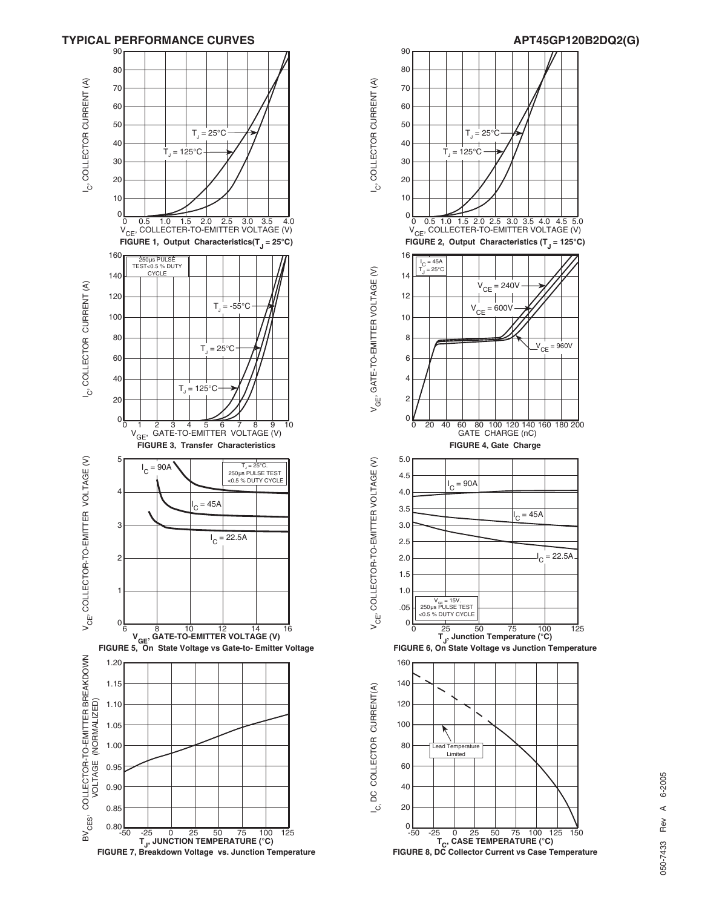

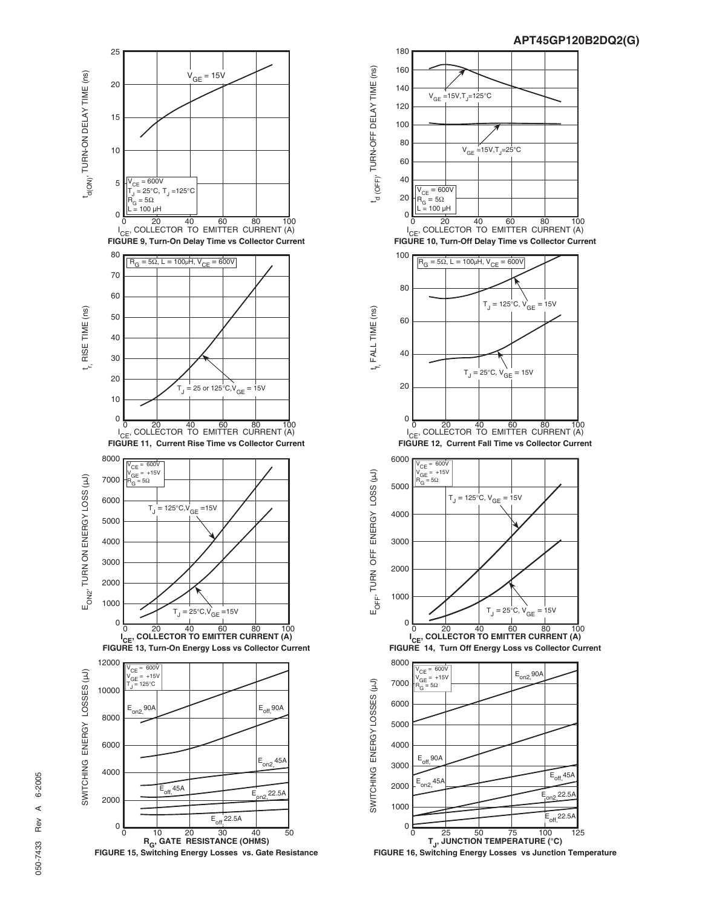







**FIGURE 16, Switching Energy Losses vs Junction Temperature**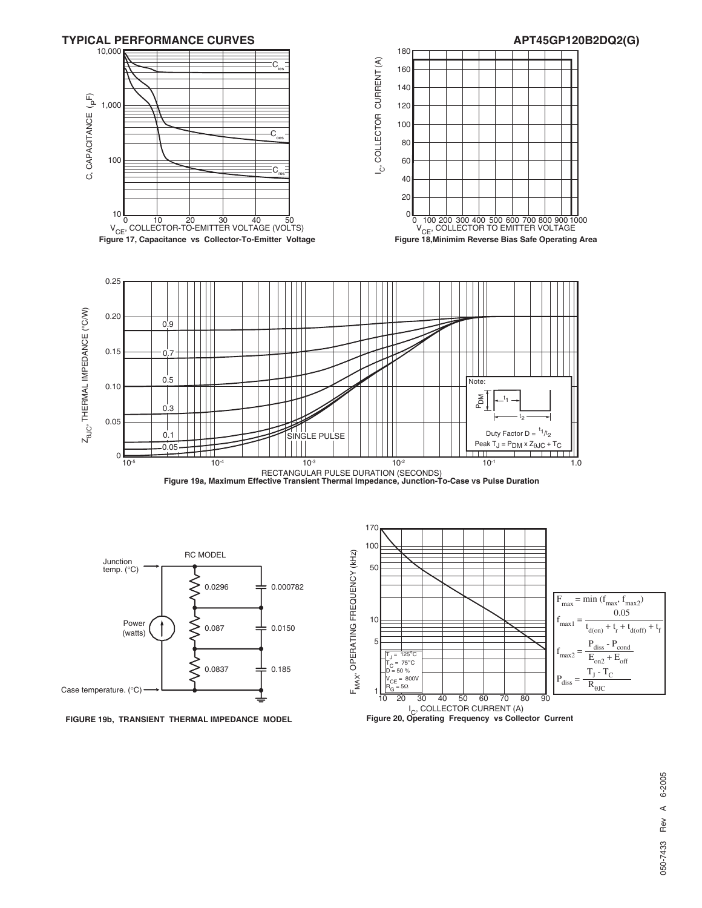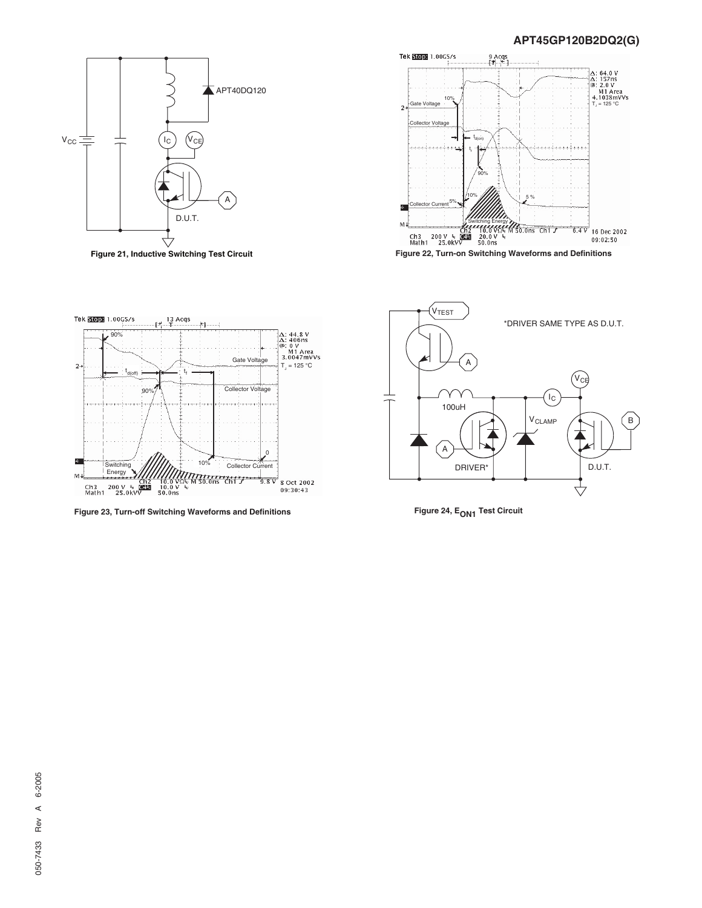

**Figure 21, Inductive Switching Test Circuit**



**Figure 22, Turn-on Switching Waveforms and Definitions**



**Figure 23, Turn-off Switching Waveforms and Definitions**



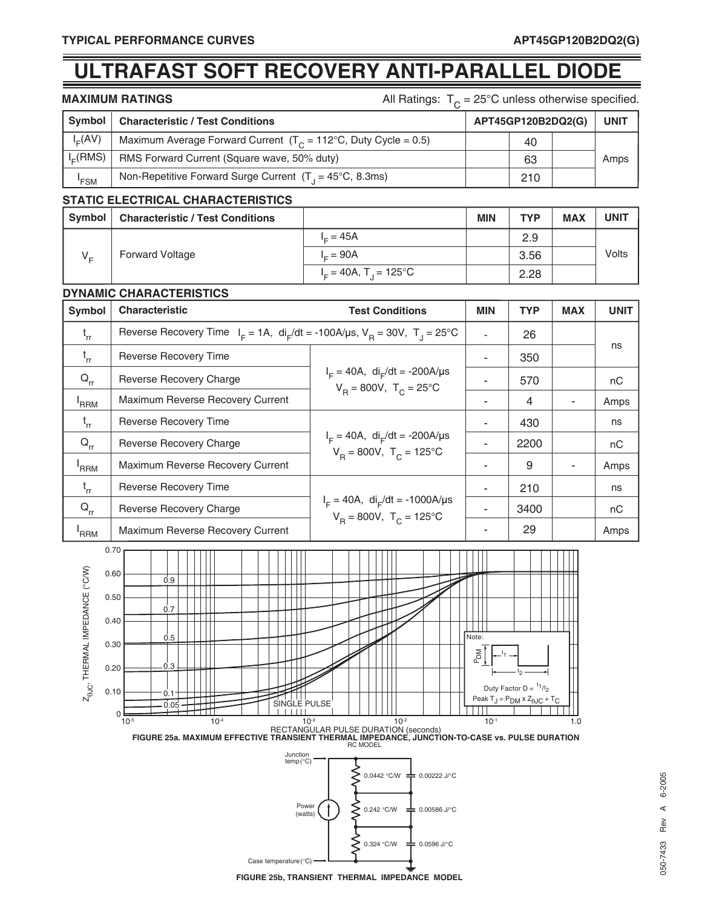## **ULTRAFAST SOFT RECOVERY ANTI-PARALLEL DIODE**

| <b>MAXIMUM RATINGS</b> |  |  |  |  |  |
|------------------------|--|--|--|--|--|
|------------------------|--|--|--|--|--|

All Ratings:  $T_c = 25^{\circ}$ C unless otherwise specified.

| Symbol               | <b>Characteristic / Test Conditions</b>                                   | APT45GP120B2DQ2(G) | <b>UNIT</b> |
|----------------------|---------------------------------------------------------------------------|--------------------|-------------|
| $I_E(AV)$            | Maximum Average Forward Current $(T_c = 112^{\circ}C$ , Duty Cycle = 0.5) | 40                 |             |
| I <sub>E</sub> (RMS) | RMS Forward Current (Square wave, 50% duty)                               | 63                 | Amps        |
| 'FSM                 | Non-Repetitive Forward Surge Current $(T_1 = 45^{\circ}C, 8.3ms)$         | 210                |             |

### **STATIC ELECTRICAL CHARACTERISTICS**

| Symbol  | <b>Characteristic / Test Conditions</b> |                                      | <b>MIN</b> | <b>TYP</b> | <b>MAX</b> | <b>UNIT</b> |
|---------|-----------------------------------------|--------------------------------------|------------|------------|------------|-------------|
| $V_{E}$ | <b>Forward Voltage</b>                  | I <sub>=</sub> = 45A                 |            | 2.9        |            | Volts       |
|         |                                         | $I = 90A$                            |            | 3.56       |            |             |
|         |                                         | $I_c = 40A$ , T <sub>1</sub> = 125°C |            | 2.28       |            |             |

### **DYNAMIC CHARACTERISTICS**

| Symbol                     | <b>Characteristic</b>                                                                          | <b>Test Conditions</b>                                                               | <b>MIN</b> | <b>TYP</b> | <b>MAX</b> | <b>UNIT</b> |
|----------------------------|------------------------------------------------------------------------------------------------|--------------------------------------------------------------------------------------|------------|------------|------------|-------------|
| $t_{rr}$                   | Reverse Recovery Time $I_F = 1A$ , $di_F/dt = -100A/\mu s$ , $V_B = 30V$ , $T_A = 25^{\circ}C$ |                                                                                      |            | 26         |            |             |
| $t_{rr}$                   | Reverse Recovery Time                                                                          | $I_F = 40A$ , di <sub>F</sub> /dt = -200A/µs<br>$V_B = 800V$ , $T_C = 25^{\circ}C$   |            | 350        |            | ns          |
| $\mathsf{Q}_{\mathsf{rr}}$ | Reverse Recovery Charge                                                                        |                                                                                      |            | 570        |            | nC          |
| <sup>'</sup> RRM           | Maximum Reverse Recovery Current                                                               |                                                                                      |            | 4          |            | Amps        |
| $t_{rr}$                   | <b>Reverse Recovery Time</b>                                                                   | $I_F = 40A$ , di <sub>F</sub> /dt = -200A/µs<br>$V_p = 800V$ , $T_c = 125^{\circ}C$  |            | 430        |            | ns          |
| $Q_{rr}$                   | Reverse Recovery Charge                                                                        |                                                                                      |            | 2200       |            | nC          |
| <sup>'</sup> RRM           | Maximum Reverse Recovery Current                                                               |                                                                                      |            | 9          |            | Amps        |
| $t_{rr}$                   | Reverse Recovery Time                                                                          | $I_F = 40A$ , di <sub>F</sub> /dt = -1000A/µs<br>$V_B = 800V$ , $T_C = 125^{\circ}C$ |            | 210        |            | ns          |
| $Q_{rr}$                   | Reverse Recovery Charge                                                                        |                                                                                      |            | 3400       |            | nC.         |
| 'RRM                       | Maximum Reverse Recovery Current                                                               |                                                                                      |            | 29         |            | Amps        |

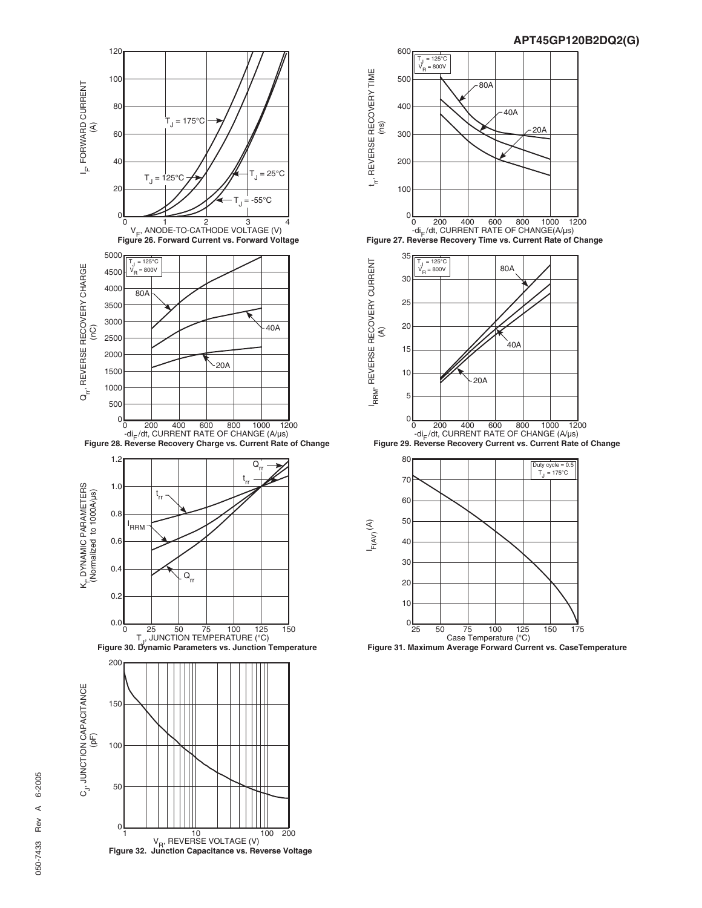### **APT45GP120B2DQ2(G)**